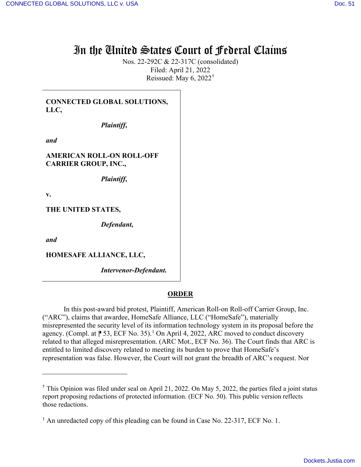## In the United States Court of Federal Claims

Nos. 22-292C & 22-317C (consolidated) Filed: April 21, 2022 Reissued: May 6, 2022†

**CONNECTED GLOBAL SOLUTIONS, LLC,** 

*Plaintiff***,** 

*and*

**AMERICAN ROLL-ON ROLL-OFF CARRIER GROUP, INC.,**

*Plaintiff***,** 

**v.** 

**THE UNITED STATES,**

*Defendant,*

*and*

**HOMESAFE ALLIANCE, LLC,**

*Intervenor-Defendant.*

## **ORDER**

In this post-award bid protest, Plaintiff, American Roll-on Roll-off Carrier Group, Inc. ("ARC"), claims that awardee, HomeSafe Alliance, LLC ("HomeSafe"), materially misrepresented the security level of its information technology system in its proposal before the agency. (Compl. at  $\uparrow$  53, ECF No. 35).<sup>1</sup> On April 4, 2022, ARC moved to conduct discovery related to that alleged misrepresentation. (ARC Mot., ECF No. 36). The Court finds that ARC is entitled to limited discovery related to meeting its burden to prove that HomeSafe's representation was false. However, the Court will not grant the breadth of ARC's request. Nor

<sup>†</sup> This Opinion was filed under seal on April 21, 2022. On May 5, 2022, the parties filed a joint status report proposing redactions of protected information. (ECF No. 50). This public version reflects those redactions.

<sup>&</sup>lt;sup>1</sup> An unredacted copy of this pleading can be found in Case No. 22-317, ECF No. 1.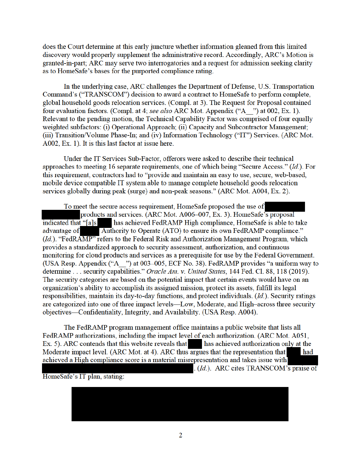does the Court determine at this early juncture whether information gleaned from this limited discovery would properly supplement the administrative record. Accordingly, ARC's Motion is granted-in-part; ARC may serve two interrogatories and a request for admission seeking clarity as to HomeSafe's bases for the purported compliance rating.

In the underlying case, ARC challenges the Department of Defense, U.S. Transportation Command's ("TRANSCOM") decision to award a contract to HomeSafe to perform complete, global household goods relocation services. (Compl. at 3). The Request for Proposal contained four evaluation factors. (Compl. at 4; see also ARC Mot. Appendix ("A ") at 002, Ex. 1). Relevant to the pending motion, the Technical Capability Factor was comprised of four equally weighted subfactors: (i) Operational Approach; (ii) Capacity and Subcontractor Management; (iii) Transition/Volume Phase-In; and (iv) Information Technology ("IT") Services. (ARC Mot. A002, Ex. 1). It is this last factor at issue here.

Under the IT Services Sub-Factor, offerors were asked to describe their technical approaches to meeting 16 separate requirements, one of which being "Secure Access." (Id.). For this requirement, contractors had to "provide and maintain an easy to use, secure, web-based, mobile device compatible IT system able to manage complete household goods relocation services globally during peak (surge) and non-peak seasons." (ARC Mot. A004, Ex. 2).

To meet the secure access requirement, HomeSafe proposed the use of products and services. (ARC Mot. A006–007, Ex. 3). HomeSafe's proposal has achieved FedRAMP High compliance, HomeSafe is able to take indicated that "[a]s Authority to Operate (ATO) to ensure its own FedRAMP compliance." advantage of (Id.). "FedRAMP" refers to the Federal Risk and Authorization Management Program, which provides a standardized approach to security assessment, authorization, and continuous monitoring for cloud products and services as a prerequisite for use by the Federal Government. (USA Resp. Appendix ("A\_") at 003-005, ECF No. 38). FedRAMP provides "a uniform way to determine . . . security capabilities." Oracle Am. v. United States, 144 Fed. Cl. 88, 118 (2019). The security categories are based on the potential impact that certain events would have on an organization's ability to accomplish its assigned mission, protect its assets, fulfill its legal responsibilities, maintain its day-to-day functions, and protect individuals.  $(Id)$ . Security ratings are categorized into one of three impact levels—Low, Moderate, and High-across three security objectives—Confidentiality, Integrity, and Availability. (USA Resp. A004).

The FedRAMP program management office maintains a public website that lists all FedRAMP authorizations, including the impact level of each authorization. (ARC Mot. A051, Ex. 5). ARC contends that this website reveals that has achieved authorization only at the Moderate impact level. (ARC Mot. at 4). ARC thus argues that the representation that had achieved a High compliance score is a material misrepresentation and takes issue with . (Id.). ARC cites TRANSCOM's praise of

HomeSafe's IT plan, stating: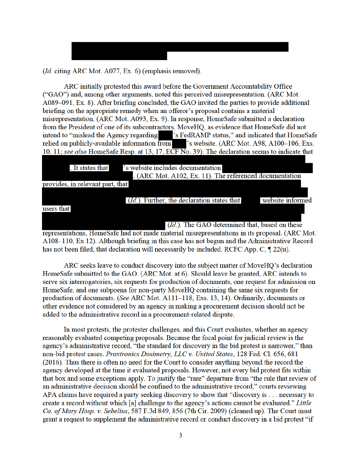(*Id.* citing ARC Mot. A077, Ex. 6) (emphasis removed).

ARC initially protested this award before the Government Accountability Office ("GAO") and, among other arguments, noted this perceived misrepresentation. (ARC Mot. A089–091, Ex. 8). After briefing concluded, the GAO invited the parties to provide additional briefing on the appropriate remedy when an offeror's proposal contains a material misrepresentation. (ARC Mot. A093, Ex. 9). In response, HomeSafe submitted a declaration from the President of one of its subcontractors, MoveHQ, as evidence that HomeSafe did not intend to "mislead the Agency regarding "s FedRAMP status," and indicated that HomeSafe relied on publicly-available information from 's website. (ARC Mot. A98, A100-106, Exs. 10, 11; see also HomeSafe Resp. at 13, 17,  $\overline{ECFN}$ o. 39). The declaration seems to indicate that

's website includes documentation . It states that . (ARC Mot. A102, Ex. 11). The referenced documentation provides, in relevant part, that (*Id.*). Further, the declaration states that website informed users that (Id.). The GAO determined that, based on these representations, HomeSafe had not made material misrepresentations in its proposal. (ARC Mot. A108–110, Ex 12). Although briefing in this case has not begun and the Administrative Record

ARC seeks leave to conduct discovery into the subject matter of MoveHQ's declaration HomeSafe submitted to the GAO. (ARC Mot. at 6). Should leave be granted, ARC intends to serve six interrogatories, six requests for production of documents, one request for admission on HomeSafe, and one subpoena for non-party MoveHQ containing the same six requests for production of documents. (See ARC Mot. A111-118, Exs. 13, 14). Ordinarily, documents or other evidence not considered by an agency in making a procurement decision should not be added to the administrative record in a procurement-related dispute.

has not been filed, that declaration will necessarily be included. RCFC App. C,  $\P$  22(u).

In most protests, the protester challenges, and this Court evaluates, whether an agency reasonably evaluated competing proposals. Because the focal point for judicial review is the agency's administrative record, "the standard for discovery in the bid protest is narrower," than non-bid protest cases. Proxtronics Dosimetry, LLC v. United States, 128 Fed. Cl. 656, 681 (2016). Thus there is often no need for the Court to consider anything beyond the record the agency developed at the time it evaluated proposals. However, not every bid protest fits within that box and some exceptions apply. To justify the "rare" departure from "the rule that review of an administrative decision should be confined to the administrative record," courts reviewing APA claims have required a party seeking discovery to show that "discovery is . . . necessary to create a record without which [a] challenge to the agency's actions cannot be evaluated." Little Co. of Mary Hosp. v. Sebelius, 587 F.3d 849, 856 (7th Cir. 2009) (cleaned up). The Court must grant a request to supplement the administrative record or conduct discovery in a bid protest "if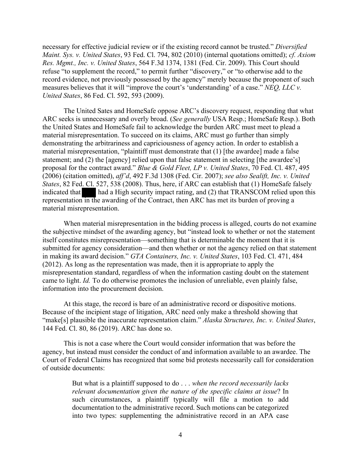necessary for effective judicial review or if the existing record cannot be trusted." *Diversified Maint. Sys. v. United States*, 93 Fed. Cl. 794, 802 (2010) (internal quotations omitted); *cf. Axiom Res. Mgmt., Inc. v. United States*, 564 F.3d 1374, 1381 (Fed. Cir. 2009). This Court should refuse "to supplement the record," to permit further "discovery," or "to otherwise add to the record evidence, not previously possessed by the agency" merely because the proponent of such measures believes that it will "improve the court's 'understanding' of a case." *NEQ, LLC v. United States*, 86 Fed. Cl. 592, 593 (2009).

The United Sates and HomeSafe oppose ARC's discovery request, responding that what ARC seeks is unnecessary and overly broad. (*See generally* USA Resp.; HomeSafe Resp.). Both the United States and HomeSafe fail to acknowledge the burden ARC must meet to plead a material misrepresentation. To succeed on its claims, ARC must go further than simply demonstrating the arbitrariness and capriciousness of agency action. In order to establish a material misrepresentation, "plaintiff must demonstrate that (1) [the awardee] made a false statement; and (2) the [agency] relied upon that false statement in selecting [the awardee's] proposal for the contract award." *Blue & Gold Fleet, LP v. United States*, 70 Fed. Cl. 487, 495 (2006) (citation omitted), *aff'd*, 492 F.3d 1308 (Fed. Cir. 2007); *see also Sealift, Inc. v. United States*, 82 Fed. Cl. 527, 538 (2008). Thus, here, if ARC can establish that (1) HomeSafe falsely indicated that had a High security impact rating, and (2) that TRANSCOM relied upon this representation in the awarding of the Contract, then ARC has met its burden of proving a material misrepresentation.

When material misrepresentation in the bidding process is alleged, courts do not examine the subjective mindset of the awarding agency, but "instead look to whether or not the statement itself constitutes misrepresentation—something that is determinable the moment that it is submitted for agency consideration—and then whether or not the agency relied on that statement in making its award decision." *GTA Containers, Inc. v. United States*, 103 Fed. Cl. 471, 484 (2012). As long as the representation was made, then it is appropriate to apply the misrepresentation standard, regardless of when the information casting doubt on the statement came to light. *Id.* To do otherwise promotes the inclusion of unreliable, even plainly false, information into the procurement decision.

At this stage, the record is bare of an administrative record or dispositive motions. Because of the incipient stage of litigation, ARC need only make a threshold showing that "make[s] plausible the inaccurate representation claim." *Alaska Structures, Inc. v. United States*, 144 Fed. Cl. 80, 86 (2019). ARC has done so.

This is not a case where the Court would consider information that was before the agency, but instead must consider the conduct of and information available to an awardee. The Court of Federal Claims has recognized that some bid protests necessarily call for consideration of outside documents:

> But what is a plaintiff supposed to do . . . *when the record necessarily lacks relevant documentation given the nature of the specific claims at issue*? In such circumstances, a plaintiff typically will file a motion to add documentation to the administrative record. Such motions can be categorized into two types: supplementing the administrative record in an APA case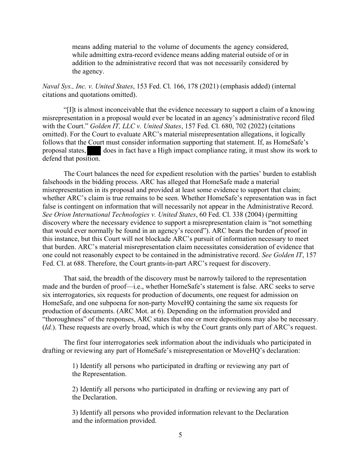means adding material to the volume of documents the agency considered, while admitting extra-record evidence means adding material outside of or in addition to the administrative record that was not necessarily considered by the agency.

*Naval Sys., Inc. v. United States*, 153 Fed. Cl. 166, 178 (2021) (emphasis added) (internal citations and quotations omitted).

"[I]t is almost inconceivable that the evidence necessary to support a claim of a knowing misrepresentation in a proposal would ever be located in an agency's administrative record filed with the Court." *Golden IT, LLC v. United States*, 157 Fed. Cl. 680, 702 (2022) (citations omitted). For the Court to evaluate ARC's material misrepresentation allegations, it logically follows that the Court must consider information supporting that statement. If, as HomeSafe's proposal states, does in fact have a High impact compliance rating, it must show its work to defend that position.

The Court balances the need for expedient resolution with the parties' burden to establish falsehoods in the bidding process. ARC has alleged that HomeSafe made a material misrepresentation in its proposal and provided at least some evidence to support that claim; whether ARC's claim is true remains to be seen. Whether HomeSafe's representation was in fact false is contingent on information that will necessarily not appear in the Administrative Record. *See Orion International Technologies v. United States*, 60 Fed. Cl. 338 (2004) (permitting discovery where the necessary evidence to support a misrepresentation claim is "not something that would ever normally be found in an agency's record"). ARC bears the burden of proof in this instance, but this Court will not blockade ARC's pursuit of information necessary to meet that burden. ARC's material misrepresentation claim necessitates consideration of evidence that one could not reasonably expect to be contained in the administrative record. *See Golden IT*, 157 Fed. Cl. at 688. Therefore, the Court grants-in-part ARC's request for discovery.

 That said, the breadth of the discovery must be narrowly tailored to the representation made and the burden of proof—i.e., whether HomeSafe's statement is false. ARC seeks to serve six interrogatories, six requests for production of documents, one request for admission on HomeSafe, and one subpoena for non-party MoveHQ containing the same six requests for production of documents. (ARC Mot. at 6). Depending on the information provided and "thoroughness" of the responses, ARC states that one or more depositions may also be necessary. (*Id.*). These requests are overly broad, which is why the Court grants only part of ARC's request.

The first four interrogatories seek information about the individuals who participated in drafting or reviewing any part of HomeSafe's misrepresentation or MoveHQ's declaration:

> 1) Identify all persons who participated in drafting or reviewing any part of the Representation.

> 2) Identify all persons who participated in drafting or reviewing any part of the Declaration.

> 3) Identify all persons who provided information relevant to the Declaration and the information provided.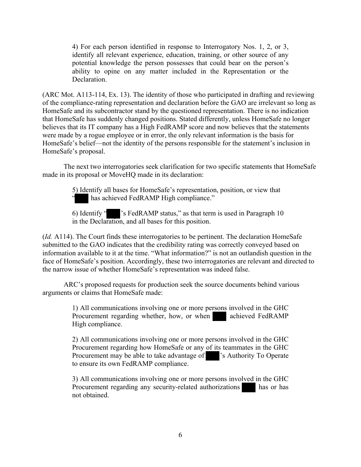4) For each person identified in response to Interrogatory Nos. 1, 2, or 3, identify all relevant experience, education, training, or other source of any potential knowledge the person possesses that could bear on the person's ability to opine on any matter included in the Representation or the Declaration.

(ARC Mot. A113-114, Ex. 13). The identity of those who participated in drafting and reviewing of the compliance-rating representation and declaration before the GAO are irrelevant so long as HomeSafe and its subcontractor stand by the questioned representation. There is no indication that HomeSafe has suddenly changed positions. Stated differently, unless HomeSafe no longer believes that its IT company has a High FedRAMP score and now believes that the statements were made by a rogue employee or in error, the only relevant information is the basis for HomeSafe's belief—not the identity of the persons responsible for the statement's inclusion in HomeSafe's proposal.

The next two interrogatories seek clarification for two specific statements that HomeSafe made in its proposal or MoveHQ made in its declaration:

> 5) Identify all bases for HomeSafe's representation, position, or view that has achieved FedRAMP High compliance."

6) Identify " 's FedRAMP status," as that term is used in Paragraph 10 in the Declaration, and all bases for this position.

(*Id.* A114). The Court finds these interrogatories to be pertinent. The declaration HomeSafe submitted to the GAO indicates that the credibility rating was correctly conveyed based on information available to it at the time. "What information?" is not an outlandish question in the face of HomeSafe's position. Accordingly, these two interrogatories are relevant and directed to the narrow issue of whether HomeSafe's representation was indeed false.

ARC's proposed requests for production seek the source documents behind various arguments or claims that HomeSafe made:

> 1) All communications involving one or more persons involved in the GHC Procurement regarding whether, how, or when achieved FedRAMP High compliance.

> 2) All communications involving one or more persons involved in the GHC Procurement regarding how HomeSafe or any of its teammates in the GHC Procurement may be able to take advantage of 's Authority To Operate to ensure its own FedRAMP compliance.

> 3) All communications involving one or more persons involved in the GHC Procurement regarding any security-related authorizations has or has not obtained.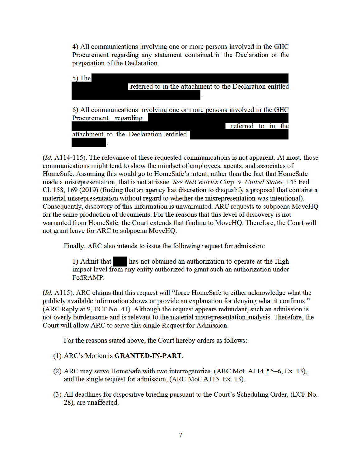4) All communications involving one or more persons involved in the GHC Procurement regarding any statement contained in the Declaration or the preparation of the Declaration.



(*Id.* A114-115). The relevance of these requested communications is not apparent. At most, those communications might tend to show the mindset of employees, agents, and associates of HomeSafe. Assuming this would go to HomeSafe's intent, rather than the fact that HomeSafe made a misrepresentation, that is not at issue. See NetCentrics Corp. v. United States, 145 Fed. Cl. 158, 169 (2019) (finding that an agency has discretion to disqualify a proposal that contains a material misrepresentation without regard to whether the misrepresentation was intentional). Consequently, discovery of this information is unwarranted. ARC requests to subpoena MoveHQ for the same production of documents. For the reasons that this level of discovery is not warranted from HomeSafe, the Court extends that finding to MoveHQ. Therefore, the Court will not grant leave for ARC to subpoena MoveHQ.

Finally, ARC also intends to issue the following request for admission:

has not obtained an authorization to operate at the High 1) Admit that impact level from any entity authorized to grant such an authorization under FedRAMP.

(*Id.* A115). ARC claims that this request will "force HomeSafe to either acknowledge what the publicly available information shows or provide an explanation for denying what it confirms." (ARC Reply at 9, ECF No. 41). Although the request appears redundant, such an admission is not overly burdensome and is relevant to the material misrepresentation analysis. Therefore, the Court will allow ARC to serve this single Request for Admission.

For the reasons stated above, the Court hereby orders as follows:

## (1) ARC's Motion is **GRANTED-IN-PART**.

- (2) ARC may serve HomeSafe with two interrogatories, (ARC Mot. A114  $\uparrow$  5–6, Ex. 13), and the single request for admission, (ARC Mot. A115, Ex. 13).
- (3) All deadlines for dispositive briefing pursuant to the Court's Scheduling Order, (ECF No. 28), are unaffected.